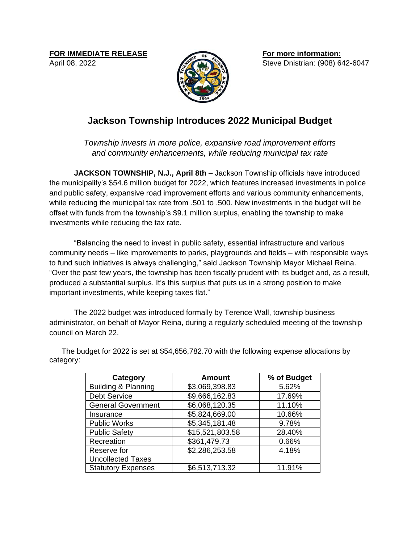**FOR IMMEDIATE RELEASE** April 08, 2022



**For more information:** Steve Dnistrian: (908) 642-6047

## **Jackson Township Introduces 2022 Municipal Budget**

*Township invests in more police, expansive road improvement efforts and community enhancements, while reducing municipal tax rate*

**JACKSON TOWNSHIP, N.J., April 8th** – Jackson Township officials have introduced the municipality's \$54.6 million budget for 2022, which features increased investments in police and public safety, expansive road improvement efforts and various community enhancements, while reducing the municipal tax rate from .501 to .500. New investments in the budget will be offset with funds from the township's \$9.1 million surplus, enabling the township to make investments while reducing the tax rate.

"Balancing the need to invest in public safety, essential infrastructure and various community needs – like improvements to parks, playgrounds and fields – with responsible ways to fund such initiatives is always challenging," said Jackson Township Mayor Michael Reina. "Over the past few years, the township has been fiscally prudent with its budget and, as a result, produced a substantial surplus. It's this surplus that puts us in a strong position to make important investments, while keeping taxes flat."

The 2022 budget was introduced formally by Terence Wall, township business administrator, on behalf of Mayor Reina, during a regularly scheduled meeting of the township council on March 22.

| Category                       | <b>Amount</b>   | % of Budget |
|--------------------------------|-----------------|-------------|
| <b>Building &amp; Planning</b> | \$3,069,398.83  | 5.62%       |
| <b>Debt Service</b>            | \$9,666,162.83  | 17.69%      |
| <b>General Government</b>      | \$6,068,120.35  | 11.10%      |
| Insurance                      | \$5,824,669.00  | 10.66%      |
| <b>Public Works</b>            | \$5,345,181.48  | 9.78%       |
| <b>Public Safety</b>           | \$15,521,803.58 | 28.40%      |
| Recreation                     | \$361,479.73    | 0.66%       |
| Reserve for                    | \$2,286,253.58  | 4.18%       |
| <b>Uncollected Taxes</b>       |                 |             |
| <b>Statutory Expenses</b>      | \$6,513,713.32  | 11.91%      |

The budget for 2022 is set at \$54,656,782.70 with the following expense allocations by category: